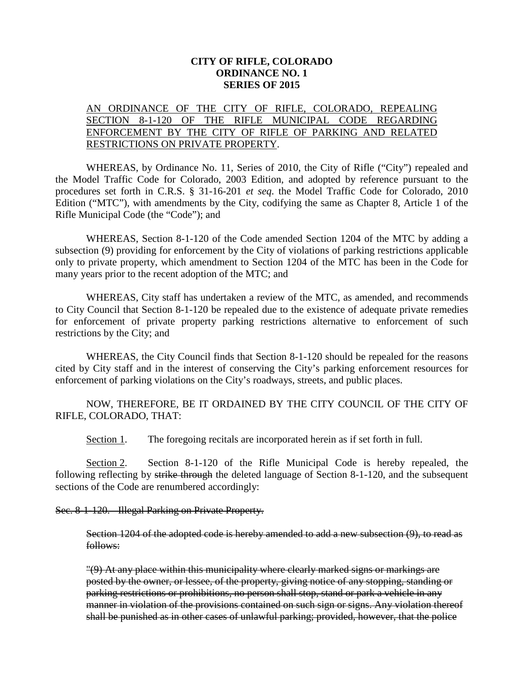## **CITY OF RIFLE, COLORADO ORDINANCE NO. 1 SERIES OF 2015**

## AN ORDINANCE OF THE CITY OF RIFLE, COLORADO, REPEALING SECTION 8-1-120 OF THE RIFLE MUNICIPAL CODE REGARDING ENFORCEMENT BY THE CITY OF RIFLE OF PARKING AND RELATED RESTRICTIONS ON PRIVATE PROPERTY.

WHEREAS, by Ordinance No. 11, Series of 2010, the City of Rifle ("City") repealed and the Model Traffic Code for Colorado, 2003 Edition, and adopted by reference pursuant to the procedures set forth in C.R.S. § 31-16-201 *et seq*. the Model Traffic Code for Colorado, 2010 Edition ("MTC"), with amendments by the City, codifying the same as Chapter 8, Article 1 of the Rifle Municipal Code (the "Code"); and

WHEREAS, Section 8-1-120 of the Code amended Section 1204 of the MTC by adding a subsection (9) providing for enforcement by the City of violations of parking restrictions applicable only to private property, which amendment to Section 1204 of the MTC has been in the Code for many years prior to the recent adoption of the MTC; and

WHEREAS, City staff has undertaken a review of the MTC, as amended, and recommends to City Council that Section 8-1-120 be repealed due to the existence of adequate private remedies for enforcement of private property parking restrictions alternative to enforcement of such restrictions by the City; and

WHEREAS, the City Council finds that Section 8-1-120 should be repealed for the reasons cited by City staff and in the interest of conserving the City's parking enforcement resources for enforcement of parking violations on the City's roadways, streets, and public places.

NOW, THEREFORE, BE IT ORDAINED BY THE CITY COUNCIL OF THE CITY OF RIFLE, COLORADO, THAT:

Section 1. The foregoing recitals are incorporated herein as if set forth in full.

Section 2. Section 8-1-120 of the Rifle Municipal Code is hereby repealed, the following reflecting by strike through the deleted language of Section 8-1-120, and the subsequent sections of the Code are renumbered accordingly:

## Sec. 8-1-120. Illegal Parking on Private Property.

Section 1204 of the adopted code is hereby amended to add a new subsection  $(9)$ , to read as follows:

"(9) At any place within this municipality where clearly marked signs or markings are posted by the owner, or lessee, of the property, giving notice of any stopping, standing or parking restrictions or prohibitions, no person shall stop, stand or park a vehicle in any manner in violation of the provisions contained on such sign or signs. Any violation thereof shall be punished as in other cases of unlawful parking; provided, however, that the police